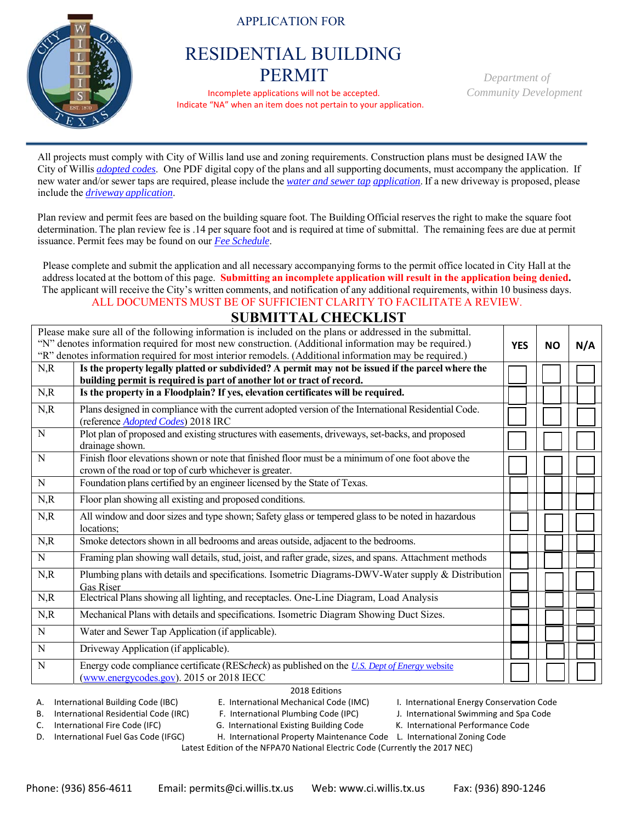## APPLICATION FOR



 Incomplete applications will not be accepted. *Community Development* Indicate "NA" when an item does not pertain to your application.

All projects must comply with City of Willis land use and zoning requirements. Construction plans must be designed IAW the City of Willis *adopted codes*. One PDF digital copy of the plans and all supporting documents, must accompany the application. If new water and/or sewer taps are required, please include the *water and sewer tap application*. If a new driveway is proposed, please include the *driveway application*.

Plan review and permit fees are based on the building square foot. The Building Official reserves the right to make the square foot determination. The plan review fee is .14 per square foot and is required at time of submittal. The remaining fees are due at permit issuance. Permit fees may be found on our *Fee Schedule*.

Please complete and submit the application and all necessary accompanying forms to the permit office located in City Hall at the address located at the bottom of this page. **Submitting an incomplete application will result in the application being denied.**  The applicant will receive the City's written comments, and notification of any additional requirements, within 10 business days. ALL DOCUMENTS MUST BE OF SUFFICIENT CLARITY TO FACILITATE A REVIEW.

## **SUBMITTAL CHECKLIST**

| Please make sure all of the following information is included on the plans or addressed in the submittal.<br>"N" denotes information required for most new construction. (Additional information may be required.)<br>"R" denotes information required for most interior remodels. (Additional information may be required.) |                                                                                                                                                                             |  | <b>YES</b><br><b>NO</b> | N/A |
|------------------------------------------------------------------------------------------------------------------------------------------------------------------------------------------------------------------------------------------------------------------------------------------------------------------------------|-----------------------------------------------------------------------------------------------------------------------------------------------------------------------------|--|-------------------------|-----|
| N, R                                                                                                                                                                                                                                                                                                                         | Is the property legally platted or subdivided? A permit may not be issued if the parcel where the<br>building permit is required is part of another lot or tract of record. |  |                         |     |
| N, R                                                                                                                                                                                                                                                                                                                         | Is the property in a Floodplain? If yes, elevation certificates will be required.                                                                                           |  |                         |     |
| N, R                                                                                                                                                                                                                                                                                                                         | Plans designed in compliance with the current adopted version of the International Residential Code.<br>(reference Adopted Codes) 2018 IRC                                  |  |                         |     |
| $\overline{N}$                                                                                                                                                                                                                                                                                                               | Plot plan of proposed and existing structures with easements, driveways, set-backs, and proposed<br>drainage shown.                                                         |  |                         |     |
| $\overline{N}$                                                                                                                                                                                                                                                                                                               | Finish floor elevations shown or note that finished floor must be a minimum of one foot above the<br>crown of the road or top of curb whichever is greater.                 |  |                         |     |
| ${\bf N}$                                                                                                                                                                                                                                                                                                                    | Foundation plans certified by an engineer licensed by the State of Texas.                                                                                                   |  |                         |     |
| N, R                                                                                                                                                                                                                                                                                                                         | Floor plan showing all existing and proposed conditions.                                                                                                                    |  |                         |     |
| N, R                                                                                                                                                                                                                                                                                                                         | All window and door sizes and type shown; Safety glass or tempered glass to be noted in hazardous<br>locations:                                                             |  |                         |     |
| N, R                                                                                                                                                                                                                                                                                                                         | Smoke detectors shown in all bedrooms and areas outside, adjacent to the bedrooms.                                                                                          |  |                         |     |
| ${\bf N}$                                                                                                                                                                                                                                                                                                                    | Framing plan showing wall details, stud, joist, and rafter grade, sizes, and spans. Attachment methods                                                                      |  |                         |     |
| N, R                                                                                                                                                                                                                                                                                                                         | Plumbing plans with details and specifications. Isometric Diagrams-DWV-Water supply & Distribution<br>Gas Riser                                                             |  |                         |     |
| N, R                                                                                                                                                                                                                                                                                                                         | Electrical Plans showing all lighting, and receptacles. One-Line Diagram, Load Analysis                                                                                     |  |                         |     |
| N, R                                                                                                                                                                                                                                                                                                                         | Mechanical Plans with details and specifications. Isometric Diagram Showing Duct Sizes.                                                                                     |  |                         |     |
| $\mathbf N$                                                                                                                                                                                                                                                                                                                  | Water and Sewer Tap Application (if applicable).                                                                                                                            |  |                         |     |
| $\mathbf N$                                                                                                                                                                                                                                                                                                                  | Driveway Application (if applicable).                                                                                                                                       |  |                         |     |
| N                                                                                                                                                                                                                                                                                                                            | Energy code compliance certificate (REScheck) as published on the U.S. Dept of Energy website<br>(www.energycodes.gov). 2015 or 2018 IECC                                   |  |                         |     |
|                                                                                                                                                                                                                                                                                                                              |                                                                                                                                                                             |  |                         |     |

## 2018 Editions

A. International Building Code (IBC) E. International Mechanical Code (IMC) I. International Energy Conservation Code

B. International Residential Code (IRC) F. International Plumbing Code (IPC) J. International Swimming and Spa Code

C. International Fire Code (IFC) G. International Existing Building Code K. International Performance Code

D. International Fuel Gas Code (IFGC) H. International Property Maintenance Code L. International Zoning Code

Latest Edition of the NFPA70 National Electric Code (Currently the 2017 NEC)